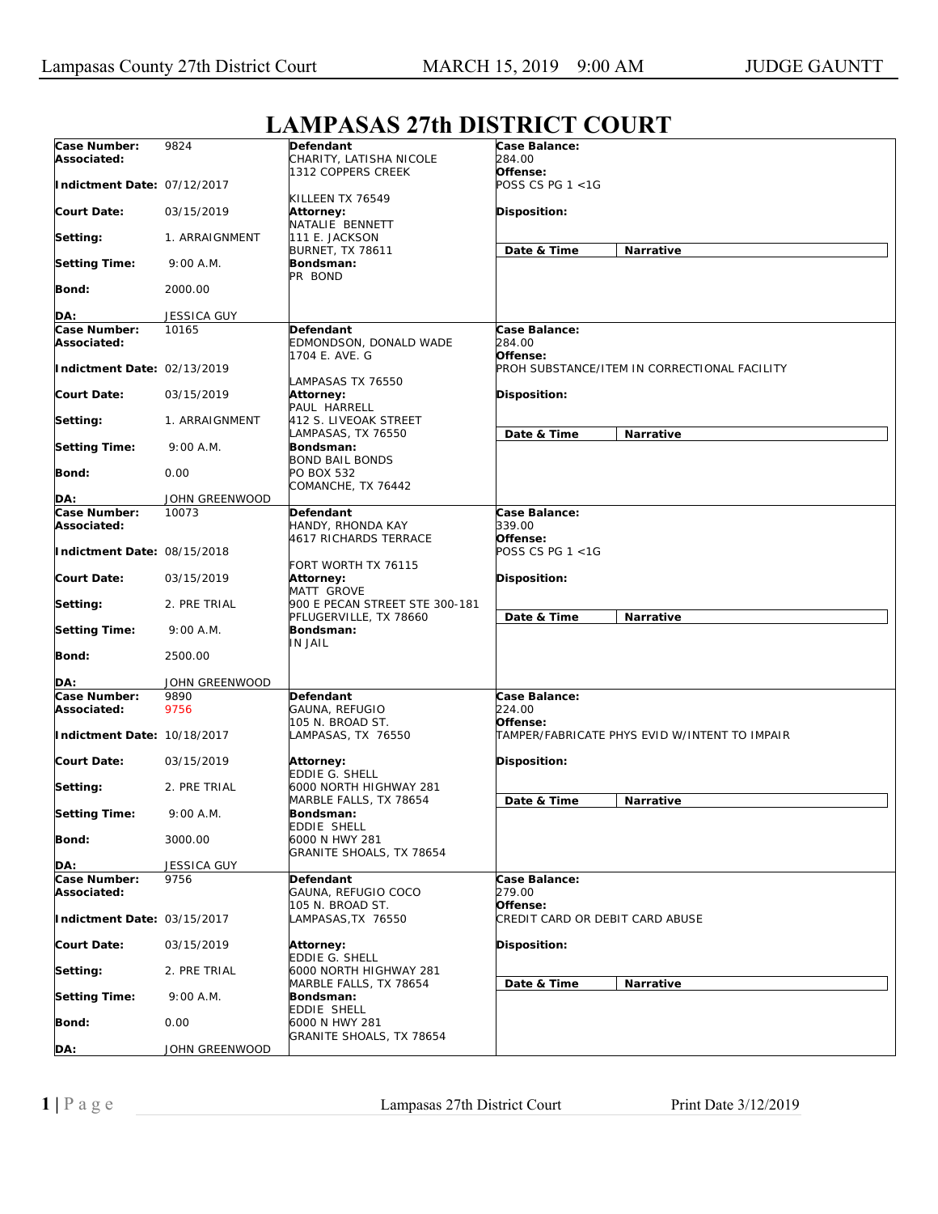## **Case Number: Associated: Indictment Date:**  07/12/2017 **Court Date: Setting: Setting Time: Bond: DA:** 9824 03/15/2019 1. ARRAIGNMENT 9:00 A.M. 2000.00 JESSICA GUY **Defendant**  CHARITY, LATISHA NICOLE 1312 COPPERS CREEK KILLEEN TX 76549 **Attorney:**  NATALIE BENNETT 111 E. JACKSON BURNET, TX 78611 **Bondsman:**  PR BOND **Case Balance:**  *284.00*  **Offense:**  *POSS CS PG 1 <1G*  **Disposition: Date & Time Narrative Case Number: Associated: Indictment Date:**  02/13/2019 **Court Date: Setting: Setting Time: Bond: DA:** 10165 03/15/2019 1. ARRAIGNMENT 9:00 A.M. 0.00 JOHN GREENWOOD **Defendant**  EDMONDSON, DONALD WADE 1704 E. AVE. G LAMPASAS TX 76550 **Attorney:**  PAUL HARRELL 412 S. LIVEOAK STREET LAMPASAS, TX 76550 **Bondsman:**  BOND BAIL BONDS PO BOX 532 COMANCHE, TX 76442 **Case Balance:**  *284.00*  **Offense:**  *PROH SUBSTANCE/ITEM IN CORRECTIONAL FACILITY*  **Disposition: Date & Time Narrative Case Number: Associated: Indictment Date:**  08/15/2018 **Court Date: Setting: Setting Time: Bond: DA:** 10073 03/15/2019 2. PRE TRIAL 9:00 A.M. 2500.00 JOHN GREENWOOD **Defendant**  HANDY, RHONDA KAY 4617 RICHARDS TERRACE FORT WORTH TX 76115 **Attorney:**  MATT GROVE 900 E PECAN STREET STE 300-181 PFLUGERVILLE, TX 78660 **Bondsman:**  IN JAIL **Case Balance:**  *339.00*  **Offense:**  *POSS CS PG 1 <1G*  **Disposition: Date & Time Narrative Case Number: Associated: Indictment Date:**  10/18/2017 **Court Date: Setting: Setting Time: Bond: DA:** 9890 9756 03/15/2019 2. PRE TRIAL 9:00 A.M. 3000.00 JESSICA GUY **Defendant**  GAUNA, REFUGIO 105 N. BROAD ST. LAMPASAS, TX 76550 **Attorney:**  EDDIE G. SHELL 6000 NORTH HIGHWAY 281 MARBLE FALLS, TX 78654 **Bondsman:**  EDDIE SHELL 6000 N HWY 281 GRANITE SHOALS, TX 78654 **Case Balance:**  *224.00*  **Offense:**  *TAMPER/FABRICATE PHYS EVID W/INTENT TO IMPAIR*  **Disposition: Date & Time Narrative Case Number: Associated: Indictment Date:**  03/15/2017 **Court Date: Setting: Setting Time: Bond: DA:** 9756 03/15/2019 2. PRE TRIAL 9:00 A.M.  $0.00$ JOHN GREENWOOD **Defendant**  GAUNA, REFUGIO COCO 105 N. BROAD ST. LAMPASAS,TX 76550 **Attorney:**  EDDIE G. SHELL 6000 NORTH HIGHWAY 281 MARBLE FALLS, TX 78654 **Bondsman:**  EDDIE SHELL 6000 N HWY 281 GRANITE SHOALS, TX 78654 **Case Balance:**  *279.00*  **Offense:**  *CREDIT CARD OR DEBIT CARD ABUSE*  **Disposition: Date & Time Narrative**

## **LAMPASAS 27th DISTRICT COURT**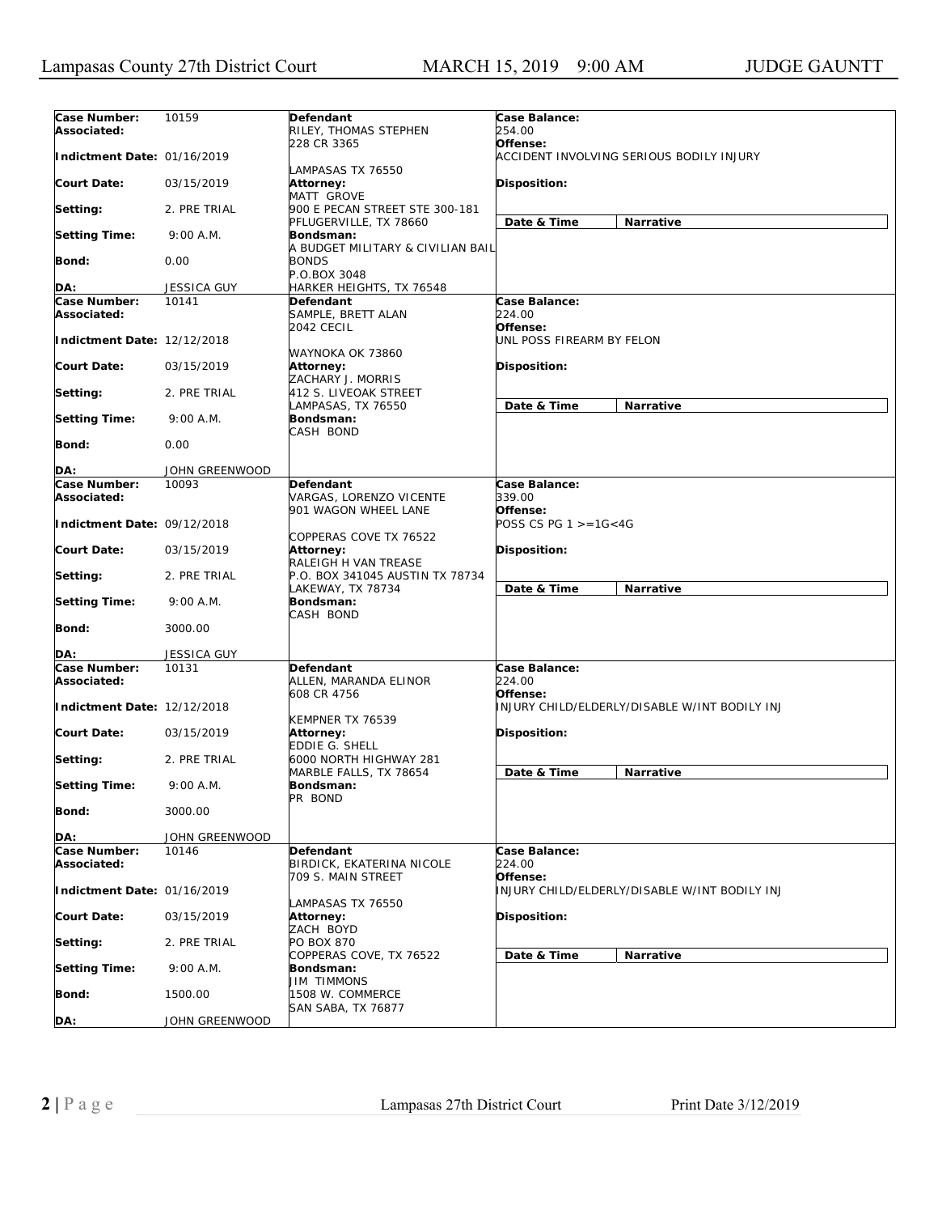| Case Number:<br>Associated: | 10159              | Defendant<br>RILEY, THOMAS STEPHEN                          | Case Balance:<br>254.00                                   |
|-----------------------------|--------------------|-------------------------------------------------------------|-----------------------------------------------------------|
| Indictment Date: 01/16/2019 |                    | 228 CR 3365                                                 | Offense:<br>ACCIDENT INVOLVING SERIOUS BODILY INJURY      |
| <b>Court Date:</b>          | 03/15/2019         | LAMPASAS TX 76550<br><b>Attorney:</b><br>MATT GROVE         | <b>Disposition:</b>                                       |
| Setting:                    | 2. PRE TRIAL       | 900 E PECAN STREET STE 300-181<br>PFLUGERVILLE, TX 78660    | Date & Time<br>Narrative                                  |
| <b>Setting Time:</b>        | 9:00 A.M.          | <b>Bondsman:</b><br>A BUDGET MILITARY & CIVILIAN BAIL       |                                                           |
| Bond:                       | 0.00               | <b>BONDS</b><br>P.O.BOX 3048                                |                                                           |
|                             |                    |                                                             |                                                           |
| DA:                         | <b>JESSICA GUY</b> | HARKER HEIGHTS, TX 76548                                    |                                                           |
| Case Number:<br>Associated: | 10141              | Defendant<br>SAMPLE, BRETT ALAN<br><b>2042 CECIL</b>        | Case Balance:<br>224.00<br>Offense:                       |
| Indictment Date: 12/12/2018 |                    | WAYNOKA OK 73860                                            | UNL POSS FIREARM BY FELON                                 |
| Court Date:                 | 03/15/2019         | Attorney:<br>ZACHARY J. MORRIS                              | <b>Disposition:</b>                                       |
| Setting:                    | 2. PRE TRIAL       | 412 S. LIVEOAK STREET<br>LAMPASAS, TX 76550                 | Date & Time<br>Narrative                                  |
| <b>Setting Time:</b>        | 9:00 A.M.          | Bondsman:<br>CASH BOND                                      |                                                           |
| Bond:                       | 0.00               |                                                             |                                                           |
| DA:                         | JOHN GREENWOOD     |                                                             |                                                           |
| Case Number:                | 10093              | Defendant                                                   | Case Balance:                                             |
| Associated:                 |                    | VARGAS, LORENZO VICENTE                                     | 339.00                                                    |
| Indictment Date: 09/12/2018 |                    | 901 WAGON WHEEL LANE                                        | Offense:<br>POSS CS PG 1 >=1G<4G                          |
| Court Date:                 | 03/15/2019         | COPPERAS COVE TX 76522<br>Attorney:<br>RALEIGH H VAN TREASE | <b>Disposition:</b>                                       |
| Setting:                    | 2. PRE TRIAL       | P.O. BOX 341045 AUSTIN TX 78734<br>LAKEWAY, TX 78734        | Date & Time<br>Narrative                                  |
| <b>Setting Time:</b>        | 9:00 A.M.          | Bondsman:<br>CASH BOND                                      |                                                           |
| Bond:                       | 3000.00            |                                                             |                                                           |
| DA:                         | JESSICA GUY        |                                                             |                                                           |
| Case Number:                | 10131              | Defendant                                                   | Case Balance:                                             |
| Associated:                 |                    | ALLEN, MARANDA ELINOR<br>608 CR 4756                        | 224.00<br>Offense:                                        |
| Indictment Date: 12/12/2018 |                    | KEMPNER TX 76539                                            | INJURY CHILD/ELDERLY/DISABLE W/INT BODILY INJ             |
| Court Date:                 | 03/15/2019         | <b>Attorney:</b><br>EDDIE G. SHELL                          | <b>Disposition:</b>                                       |
| Setting:                    | 2. PRE TRIAL       | 6000 NORTH HIGHWAY 281<br>MARBLE FALLS, TX 78654            | Date & Time<br>Narrative                                  |
| <b>Setting Time:</b>        | 9:00 A.M.          | Bondsman:<br>PR BOND                                        |                                                           |
| Bond:                       | 3000.00            |                                                             |                                                           |
| DA:                         | JOHN GREENWOOD     |                                                             |                                                           |
| Case Number:<br>Associated: | 10146              | Defendant<br>BIRDICK, EKATERINA NICOLE                      | Case Balance:<br>224.00                                   |
| Indictment Date: 01/16/2019 |                    | 709 S. MAIN STREET                                          | Offense:<br>INJURY CHILD/ELDERLY/DISABLE W/INT BODILY INJ |
|                             |                    | LAMPASAS TX 76550                                           |                                                           |
| Court Date:                 | 03/15/2019         | Attorney:<br>ZACH BOYD                                      | Disposition:                                              |
| Setting:                    | 2. PRE TRIAL       | PO BOX 870<br>COPPERAS COVE, TX 76522                       | Date & Time<br>Narrative                                  |
| <b>Setting Time:</b>        | 9:00 A.M.          | Bondsman:<br>JIM TIMMONS                                    |                                                           |
| <b>Bond:</b>                | 1500.00            | 1508 W. COMMERCE<br>SAN SABA, TX 76877                      |                                                           |
| DA:                         | JOHN GREENWOOD     |                                                             |                                                           |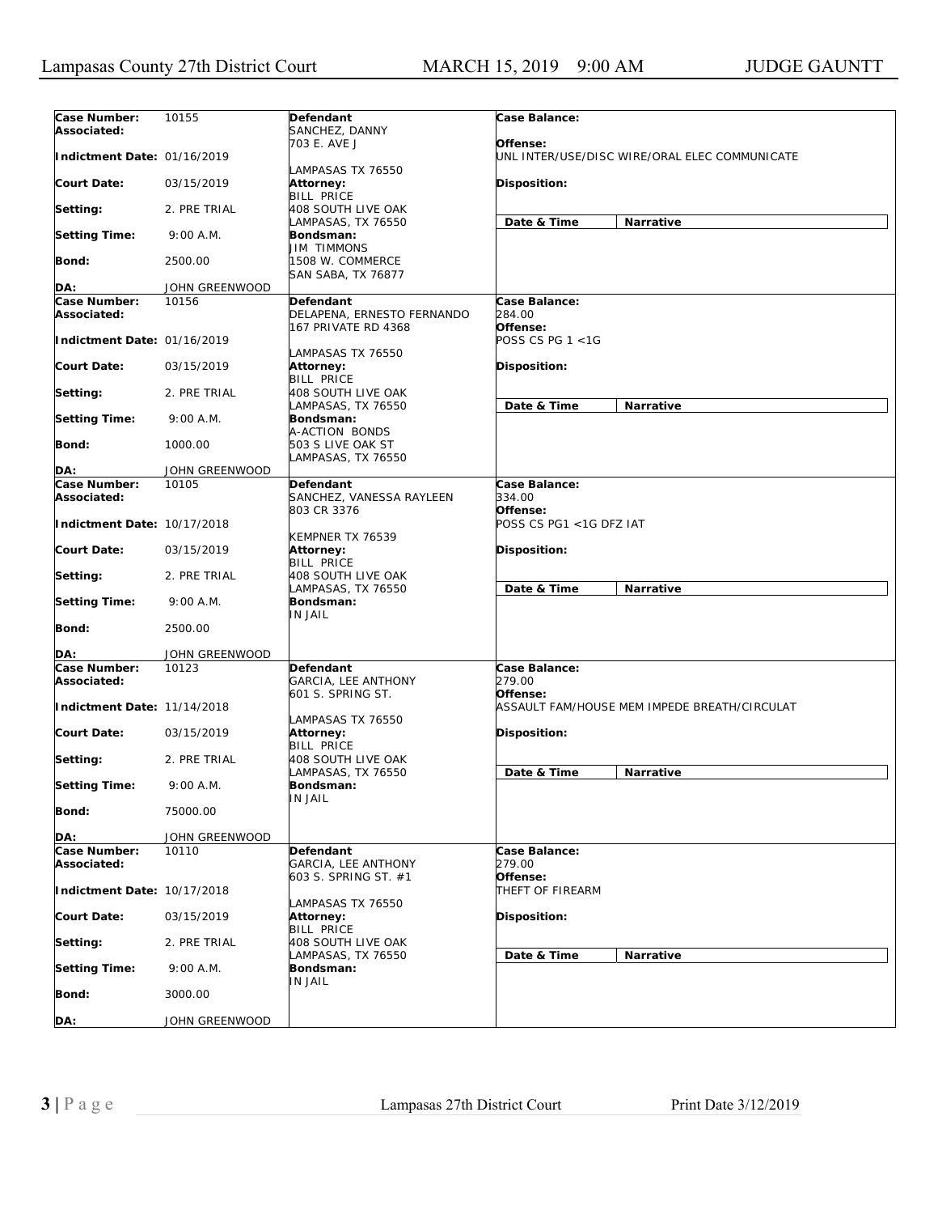| Case Number:                | 10155                   | Defendant                                          | Case Balance:                                             |
|-----------------------------|-------------------------|----------------------------------------------------|-----------------------------------------------------------|
| Associated:                 |                         | SANCHEZ, DANNY                                     |                                                           |
| Indictment Date: 01/16/2019 |                         | 703 E. AVE J                                       | Offense:<br>UNL INTER/USE/DISC WIRE/ORAL ELEC COMMUNICATE |
|                             |                         | LAMPASAS TX 76550                                  |                                                           |
| <b>Court Date:</b>          | 03/15/2019              | Attorney:<br><b>BILL PRICE</b>                     | <b>Disposition:</b>                                       |
| Setting:                    | 2. PRE TRIAL            | 408 SOUTH LIVE OAK<br>LAMPASAS, TX 76550           | Date & Time<br>Narrative                                  |
| <b>Setting Time:</b>        | 9:00 A.M.               | Bondsman:<br><b>JIM TIMMONS</b>                    |                                                           |
| Bond:                       | 2500.00                 | 1508 W. COMMERCE<br>SAN SABA, TX 76877             |                                                           |
| DA:                         | JOHN GREENWOOD          |                                                    |                                                           |
| Case Number:                | 10156                   | <b>Defendant</b>                                   | Case Balance:                                             |
| Associated:                 |                         | DELAPENA, ERNESTO FERNANDO                         | 284.00                                                    |
| Indictment Date: 01/16/2019 |                         | 167 PRIVATE RD 4368                                | Offense:<br>POSS CS PG 1 <1G                              |
|                             |                         | LAMPASAS TX 76550                                  |                                                           |
| Court Date:                 | 03/15/2019              | Attorney:                                          | <b>Disposition:</b>                                       |
| Setting:                    | 2. PRE TRIAL            | <b>BILL PRICE</b><br>408 SOUTH LIVE OAK            |                                                           |
|                             |                         | LAMPASAS, TX 76550                                 | Date & Time<br>Narrative                                  |
| <b>Setting Time:</b>        | 9:00 A.M.               | Bondsman:<br>A-ACTION BONDS                        |                                                           |
| Bond:                       | 1000.00                 | 503 S LIVE OAK ST                                  |                                                           |
|                             |                         | LAMPASAS, TX 76550                                 |                                                           |
| DA:<br>Case Number:         | JOHN GREENWOOD<br>10105 |                                                    | Case Balance:                                             |
| Associated:                 |                         | Defendant<br>SANCHEZ, VANESSA RAYLEEN              | 334.00                                                    |
| Indictment Date: 10/17/2018 |                         | 803 CR 3376                                        | Offense:<br>POSS CS PG1 < 1G DFZ IAT                      |
|                             |                         | KEMPNER TX 76539                                   |                                                           |
| Court Date:                 | 03/15/2019              | Attorney:<br><b>BILL PRICE</b>                     | <b>Disposition:</b>                                       |
| Setting:                    | 2. PRE TRIAL            | 408 SOUTH LIVE OAK<br>LAMPASAS, TX 76550           | Date & Time<br>Narrative                                  |
| <b>Setting Time:</b>        | 9:00 A.M.               | Bondsman:<br><b>IN JAIL</b>                        |                                                           |
| <b>Bond:</b>                | 2500.00                 |                                                    |                                                           |
| DA:                         | JOHN GREENWOOD          |                                                    |                                                           |
| Case Number:                | 10123                   | Defendant                                          | Case Balance:                                             |
| Associated:                 |                         | GARCIA, LEE ANTHONY<br>601 S. SPRING ST.           | 279.00<br>Offense:                                        |
| Indictment Date: 11/14/2018 |                         |                                                    | ASSAULT FAM/HOUSE MEM IMPEDE BREATH/CIRCULAT              |
| <b>Court Date:</b>          | 03/15/2019              | LAMPASAS TX 76550<br>Attorney:                     | <b>Disposition:</b>                                       |
|                             |                         | <b>BILL PRICE</b>                                  |                                                           |
| Setting:                    | 2. PRE TRIAL            | 408 SOUTH LIVE OAK                                 |                                                           |
| <b>Setting Time:</b>        | 9:00 A.M.               | LAMPASAS, TX 76550<br>Bondsman:                    | Date & Time<br>Narrative                                  |
| <b>Bond:</b>                | 75000.00                | IN JAIL                                            |                                                           |
| DA:                         | JOHN GREENWOOD          |                                                    |                                                           |
| Case Number:                | 10110                   | Defendant                                          | Case Balance:                                             |
| Associated:                 |                         | <b>GARCIA, LEE ANTHONY</b><br>603 S. SPRING ST. #1 | 279.00<br>Offense:                                        |
| Indictment Date: 10/17/2018 |                         |                                                    | THEFT OF FIREARM                                          |
| <b>Court Date:</b>          | 03/15/2019              | LAMPASAS TX 76550<br><b>Attorney:</b>              | Disposition:                                              |
| Setting:                    | 2. PRE TRIAL            | <b>BILL PRICE</b><br>408 SOUTH LIVE OAK            |                                                           |
| <b>Setting Time:</b>        | 9:00 A.M.               | LAMPASAS, TX 76550<br>Bondsman:                    | Date & Time<br>Narrative                                  |
| <b>Bond:</b>                | 3000.00                 | <b>IN JAIL</b>                                     |                                                           |
| DA:                         | JOHN GREENWOOD          |                                                    |                                                           |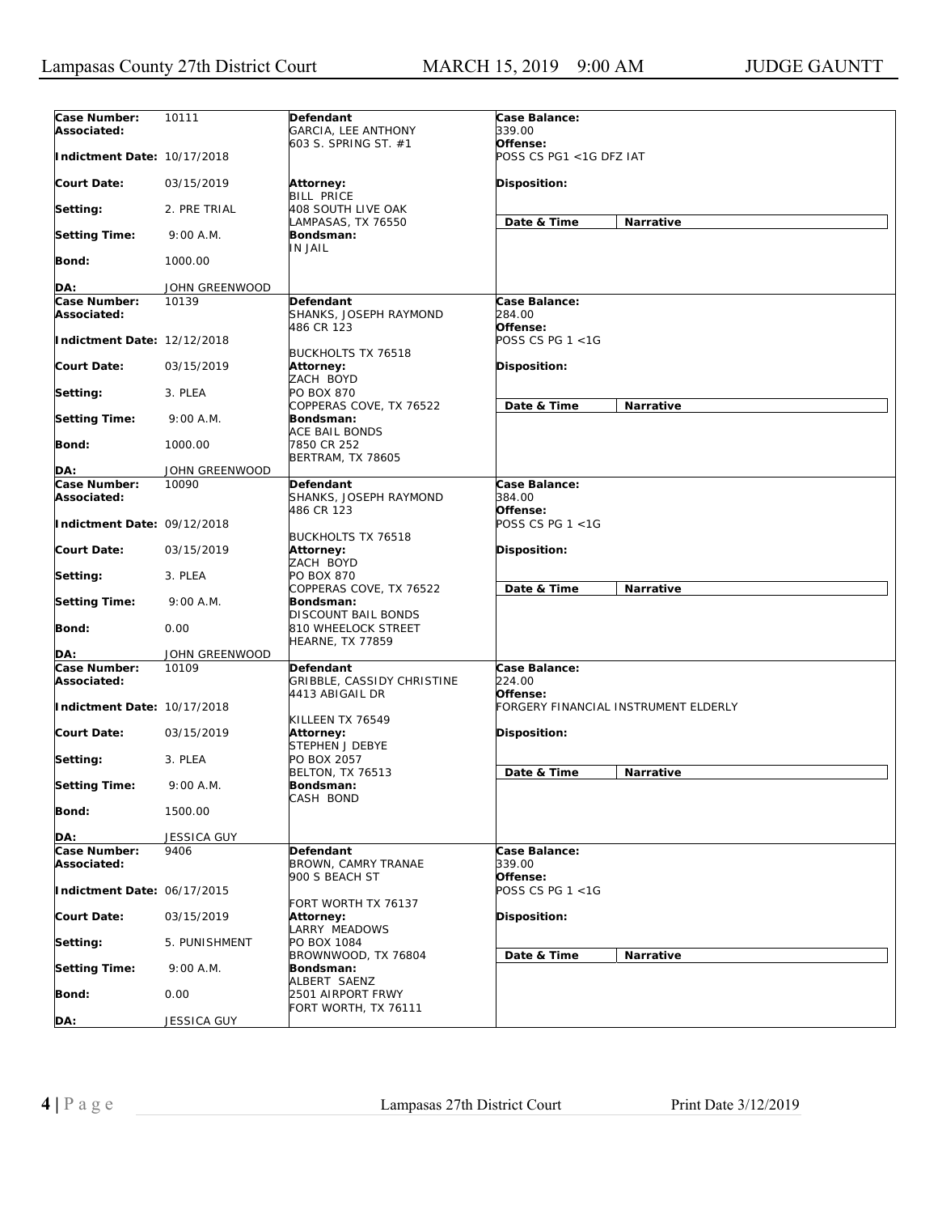| Case Number:<br>Associated: | 10111          | Defendant<br><b>GARCIA, LEE ANTHONY</b>                    | Case Balance:<br>339.00              |                  |
|-----------------------------|----------------|------------------------------------------------------------|--------------------------------------|------------------|
| Indictment Date: 10/17/2018 |                | 603 S. SPRING ST. #1                                       | Offense:<br>POSS CS PG1 <1G DFZ IAT  |                  |
| <b>Court Date:</b>          | 03/15/2019     | Attorney:<br><b>BILL PRICE</b>                             | <b>Disposition:</b>                  |                  |
| Setting:                    | 2. PRE TRIAL   | <b>408 SOUTH LIVE OAK</b><br>LAMPASAS, TX 76550            | Date & Time                          | Narrative        |
| <b>Setting Time:</b>        | 9:00 A.M.      | Bondsman:<br>IN JAIL                                       |                                      |                  |
| Bond:                       | 1000.00        |                                                            |                                      |                  |
| DA:                         | JOHN GREENWOOD |                                                            |                                      |                  |
| Case Number:                | 10139          | Defendant                                                  | Case Balance:                        |                  |
| Associated:                 |                | SHANKS, JOSEPH RAYMOND<br>486 CR 123                       | 284.00<br>Offense:                   |                  |
| Indictment Date: 12/12/2018 |                | <b>BUCKHOLTS TX 76518</b>                                  | POSS CS PG 1 <1G                     |                  |
| Court Date:                 | 03/15/2019     | Attorney:<br>ZACH BOYD                                     | <b>Disposition:</b>                  |                  |
| Setting:                    | 3. PLEA        | <b>PO BOX 870</b><br>COPPERAS COVE, TX 76522               | Date & Time                          | <b>Narrative</b> |
| <b>Setting Time:</b>        | 9:00 A.M.      | Bondsman:<br><b>ACE BAIL BONDS</b>                         |                                      |                  |
| <b>Bond:</b>                | 1000.00        | 7850 CR 252<br>BERTRAM, TX 78605                           |                                      |                  |
| DA:                         | JOHN GREENWOOD |                                                            |                                      |                  |
| Case Number:                | 10090          | Defendant                                                  | Case Balance:                        |                  |
| Associated:                 |                | SHANKS, JOSEPH RAYMOND<br>486 CR 123                       | 384.00<br>Offense:                   |                  |
| Indictment Date: 09/12/2018 |                | <b>BUCKHOLTS TX 76518</b>                                  | POSS CS PG 1 <1G                     |                  |
| Court Date:                 | 03/15/2019     | Attorney:<br>ZACH BOYD                                     | <b>Disposition:</b>                  |                  |
| Setting:                    | 3. PLEA        | <b>PO BOX 870</b><br>COPPERAS COVE, TX 76522               | Date & Time                          | Narrative        |
| <b>Setting Time:</b>        | 9:00 A.M.      | Bondsman:<br>DISCOUNT BAIL BONDS                           |                                      |                  |
| <b>Bond:</b>                | 0.00           | 810 WHEELOCK STREET<br>HEARNE, TX 77859                    |                                      |                  |
| DA:                         | JOHN GREENWOOD |                                                            |                                      |                  |
| Case Number:<br>Associated: | 10109          | Defendant<br>GRIBBLE, CASSIDY CHRISTINE<br>4413 ABIGAIL DR | Case Balance:<br>224.00<br>Offense:  |                  |
| Indictment Date: 10/17/2018 |                |                                                            | FORGERY FINANCIAL INSTRUMENT ELDERLY |                  |
| <b>Court Date:</b>          | 03/15/2019     | KILLEEN TX 76549<br>Attorney:<br>STEPHEN J DEBYE           | <b>Disposition:</b>                  |                  |
| Setting:                    | 3. PLEA        | PO BOX 2057<br><b>BELTON, TX 76513</b>                     | Date & Time                          |                  |
| <b>Setting Time:</b>        | 9:00 A.M.      | Bondsman:<br>CASH BOND                                     |                                      | Narrative        |
| <b>Bond:</b>                | 1500.00        |                                                            |                                      |                  |
| DA:                         | JESSICA GUY    |                                                            |                                      |                  |
| Case Number:<br>Associated: | 9406           | Defendant<br>BROWN, CAMRY TRANAE                           | Case Balance:<br>339.00              |                  |
| Indictment Date: 06/17/2015 |                | 900 S BEACH ST                                             | Offense:<br>POSS CS PG 1 <1G         |                  |
| <b>Court Date:</b>          | 03/15/2019     | FORT WORTH TX 76137<br>Attorney:<br>LARRY MEADOWS          | <b>Disposition:</b>                  |                  |
| Setting:                    | 5. PUNISHMENT  | PO BOX 1084                                                |                                      |                  |
| <b>Setting Time:</b>        | 9:00 A.M.      | BROWNWOOD, TX 76804<br>Bondsman:                           | Date & Time                          | Narrative        |
| <b>Bond:</b>                | 0.00           | ALBERT SAENZ<br>2501 AIRPORT FRWY                          |                                      |                  |
| DA:                         | JESSICA GUY    | FORT WORTH, TX 76111                                       |                                      |                  |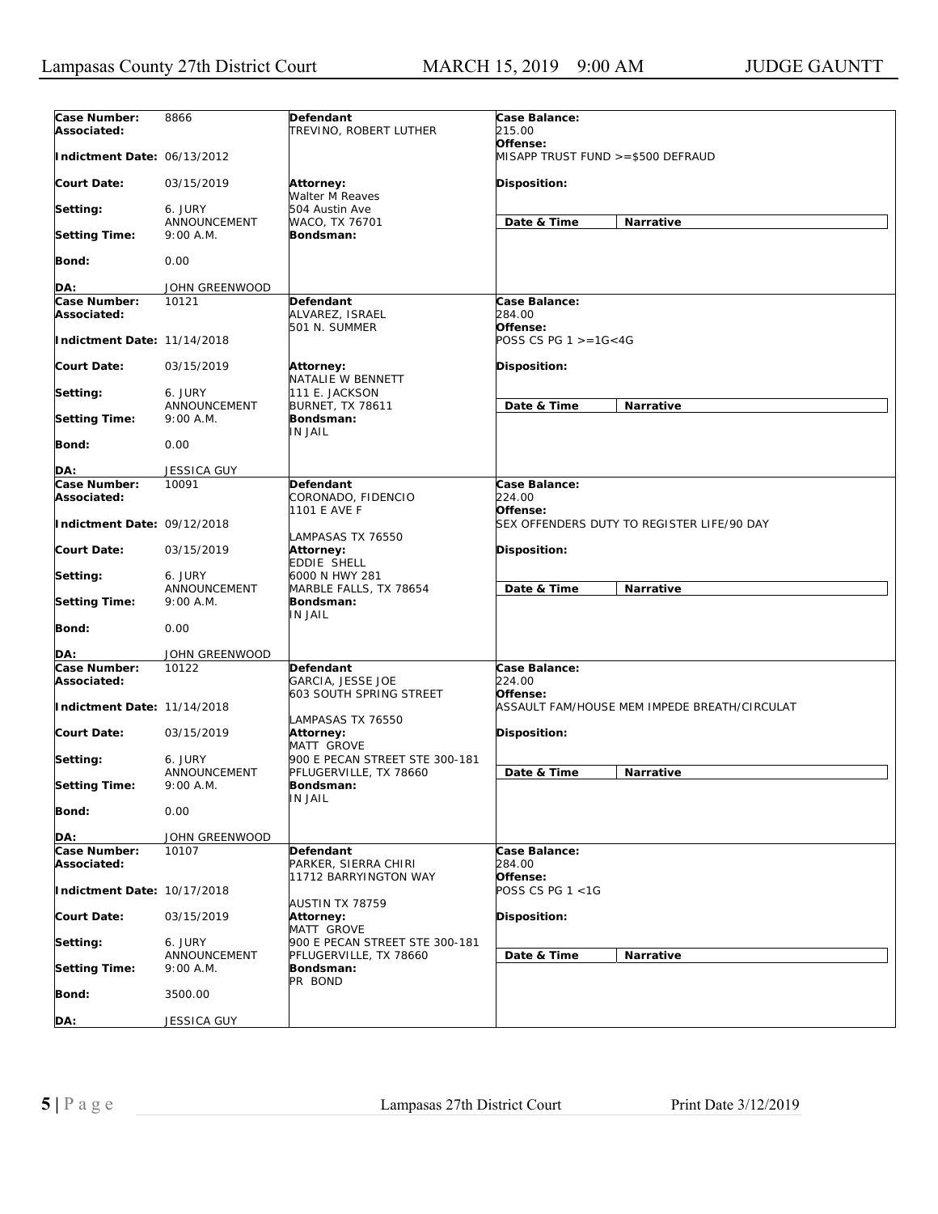| Case Number:                | 8866                      | Defendant                                                  | Case Balance:                                            |
|-----------------------------|---------------------------|------------------------------------------------------------|----------------------------------------------------------|
| Associated:                 |                           | TREVINO, ROBERT LUTHER                                     | 215.00                                                   |
| Indictment Date: 06/13/2012 |                           |                                                            | Offense:<br>MISAPP TRUST FUND >=\$500 DEFRAUD            |
| Court Date:                 | 03/15/2019                | <b>Attorney:</b><br>Walter M Reaves                        | Disposition:                                             |
| Setting:                    | 6. JURY                   | 504 Austin Ave                                             |                                                          |
| <b>Setting Time:</b>        | ANNOUNCEMENT<br>9:00 A.M. | WACO, TX 76701<br>Bondsman:                                | Date & Time<br>Narrative                                 |
| Bond:                       | 0.00                      |                                                            |                                                          |
| DA:                         | JOHN GREENWOOD            |                                                            |                                                          |
| Case Number:                | 10121                     | Defendant                                                  | Case Balance:                                            |
| Associated:                 |                           | ALVAREZ, ISRAEL<br>501 N. SUMMER                           | 284.00<br>Offense:                                       |
| Indictment Date: 11/14/2018 |                           |                                                            | POSS CS PG $1 > = 16 < 4G$                               |
| <b>Court Date:</b>          | 03/15/2019                | Attorney:<br>NATALIE W BENNETT                             | Disposition:                                             |
| Setting:                    | 6. JURY                   | 111 E. JACKSON                                             |                                                          |
| <b>Setting Time:</b>        | ANNOUNCEMENT<br>9:00 A.M. | <b>BURNET, TX 78611</b><br>Bondsman:                       | Date & Time<br>Narrative                                 |
| Bond:                       | 0.00                      | <b>IN JAIL</b>                                             |                                                          |
| DA:                         | <b>JESSICA GUY</b>        |                                                            |                                                          |
| Case Number:                | 10091                     | <b>Defendant</b>                                           | Case Balance:                                            |
| Associated:                 |                           | CORONADO, FIDENCIO<br>1101 E AVE F                         | 224.00<br>Offense:                                       |
| Indictment Date: 09/12/2018 |                           |                                                            | SEX OFFENDERS DUTY TO REGISTER LIFE/90 DAY               |
| <b>Court Date:</b>          | 03/15/2019                | LAMPASAS TX 76550<br>Attorney:                             | Disposition:                                             |
| Setting:                    | 6. JURY                   | EDDIE SHELL<br>6000 N HWY 281                              |                                                          |
|                             | ANNOUNCEMENT              | MARBLE FALLS, TX 78654                                     | Date & Time<br>Narrative                                 |
| <b>Setting Time:</b>        | 9:00 A.M.                 | Bondsman:                                                  |                                                          |
| Bond:                       | 0.00                      | <b>IN JAIL</b>                                             |                                                          |
| DA:                         | JOHN GREENWOOD            |                                                            |                                                          |
| Case Number:<br>Associated: | 10122                     | Defendant<br>GARCIA, JESSE JOE                             | Case Balance:<br>224.00                                  |
| Indictment Date: 11/14/2018 |                           | 603 SOUTH SPRING STREET                                    | Offense:<br>ASSAULT FAM/HOUSE MEM IMPEDE BREATH/CIRCULAT |
| <b>Court Date:</b>          | 03/15/2019                | LAMPASAS TX 76550<br>Attorney:<br><b>MATT GROVE</b>        | Disposition:                                             |
| Setting:                    | 6. JURY<br>ANNOUNCEMENT   | 900 E PECAN STREET STE 300-181<br>PFLUGERVILLE, TX 78660   | Date & Time<br>Narrative                                 |
| <b>Setting Time:</b>        | 9:00 A.M.                 | Bondsman:<br>IN JAIL                                       |                                                          |
| Bond:                       | 0.00                      |                                                            |                                                          |
| DA:                         | JOHN GREENWOOD            |                                                            |                                                          |
| Case Number:<br>Associated: | 10107                     | Defendant<br>PARKER, SIERRA CHIRI<br>11712 BARRYINGTON WAY | Case Balance:<br>284.00                                  |
| Indictment Date: 10/17/2018 |                           |                                                            | Offense:<br>POSS CS PG 1 <1G                             |
| <b>Court Date:</b>          | 03/15/2019                | AUSTIN TX 78759<br>Attorney:<br><b>MATT GROVE</b>          | Disposition:                                             |
| Setting:                    | 6. JURY                   | 900 E PECAN STREET STE 300-181                             |                                                          |
|                             | ANNOUNCEMENT              | PFLUGERVILLE, TX 78660                                     | Date & Time<br>Narrative                                 |
| <b>Setting Time:</b>        | 9:00 A.M.                 | Bondsman:<br>PR BOND                                       |                                                          |
| <b>Bond:</b>                | 3500.00                   |                                                            |                                                          |
| DA:                         | JESSICA GUY               |                                                            |                                                          |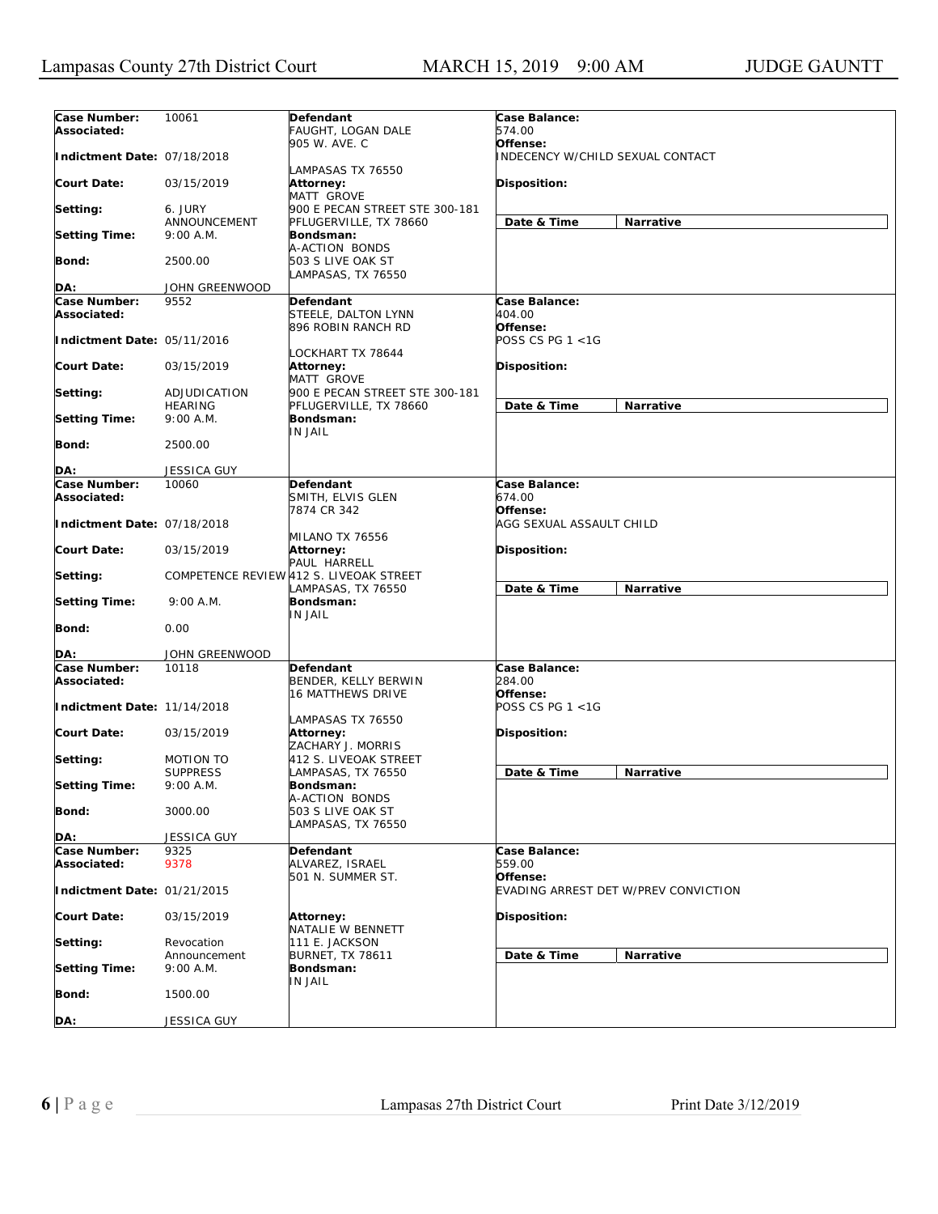| Case Number:                | 10061           | Defendant                               | Case Balance:                        |                  |
|-----------------------------|-----------------|-----------------------------------------|--------------------------------------|------------------|
| Associated:                 |                 | FAUGHT, LOGAN DALE                      | 574.00                               |                  |
|                             |                 | 905 W. AVE. C                           | Offense:                             |                  |
| Indictment Date: 07/18/2018 |                 |                                         | INDECENCY W/CHILD SEXUAL CONTACT     |                  |
|                             |                 | LAMPASAS TX 76550                       |                                      |                  |
| <b>Court Date:</b>          | 03/15/2019      | Attorney:                               | <b>Disposition:</b>                  |                  |
|                             |                 | MATT GROVE                              |                                      |                  |
| Setting:                    | 6. JURY         | 900 E PECAN STREET STE 300-181          |                                      |                  |
|                             | ANNOUNCEMENT    | PFLUGERVILLE, TX 78660                  | Date & Time                          | Narrative        |
| <b>Setting Time:</b>        | 9:00 A.M.       | Bondsman:                               |                                      |                  |
|                             |                 | A-ACTION BONDS                          |                                      |                  |
| Bond:                       | 2500.00         | 503 S LIVE OAK ST                       |                                      |                  |
|                             |                 | LAMPASAS, TX 76550                      |                                      |                  |
| DA:                         | JOHN GREENWOOD  |                                         |                                      |                  |
| Case Number:                | 9552            | Defendant                               | Case Balance:                        |                  |
| Associated:                 |                 | STEELE, DALTON LYNN                     | 404.00                               |                  |
|                             |                 | 896 ROBIN RANCH RD                      | Offense:                             |                  |
| Indictment Date: 05/11/2016 |                 |                                         | POSS CS PG 1 <1G                     |                  |
|                             |                 | LOCKHART TX 78644                       |                                      |                  |
| <b>Court Date:</b>          | 03/15/2019      | Attorney:                               | <b>Disposition:</b>                  |                  |
|                             |                 | MATT GROVE                              |                                      |                  |
| Setting:                    | ADJUDICATION    | 900 E PECAN STREET STE 300-181          |                                      |                  |
|                             | <b>HEARING</b>  | PFLUGERVILLE, TX 78660                  | Date & Time                          | Narrative        |
| <b>Setting Time:</b>        | $9:00$ A.M.     | Bondsman:                               |                                      |                  |
|                             |                 | IN JAIL                                 |                                      |                  |
| <b>Bond:</b>                | 2500.00         |                                         |                                      |                  |
|                             |                 |                                         |                                      |                  |
| DA:                         | JESSICA GUY     |                                         |                                      |                  |
| Case Number:                | 10060           | Defendant                               | Case Balance:                        |                  |
| Associated:                 |                 | SMITH, ELVIS GLEN                       | 674.00                               |                  |
|                             |                 | 7874 CR 342                             | Offense:                             |                  |
| Indictment Date: 07/18/2018 |                 |                                         | AGG SEXUAL ASSAULT CHILD             |                  |
|                             |                 | MILANO TX 76556                         |                                      |                  |
| <b>Court Date:</b>          | 03/15/2019      | Attorney:                               | Disposition:                         |                  |
|                             |                 | PAUL HARRELL                            |                                      |                  |
| Setting:                    |                 | COMPETENCE REVIEW 412 S. LIVEOAK STREET |                                      |                  |
|                             |                 | LAMPASAS, TX 76550                      | Date & Time                          | Narrative        |
| <b>Setting Time:</b>        | 9:00 A.M.       | Bondsman:                               |                                      |                  |
| Bond:                       | 0.00            | IN JAIL                                 |                                      |                  |
|                             |                 |                                         |                                      |                  |
| DA:                         | JOHN GREENWOOD  |                                         |                                      |                  |
| Case Number:                | 10118           | Defendant                               | Case Balance:                        |                  |
| Associated:                 |                 | BENDER, KELLY BERWIN                    | 284.00                               |                  |
|                             |                 | <b>16 MATTHEWS DRIVE</b>                | Offense:                             |                  |
| Indictment Date: 11/14/2018 |                 |                                         | POSS CS PG 1 <1G                     |                  |
|                             |                 | LAMPASAS TX 76550                       |                                      |                  |
| <b>Court Date:</b>          | 03/15/2019      | Attorney:                               | <b>Disposition:</b>                  |                  |
|                             |                 | ZACHARY J. MORRIS                       |                                      |                  |
| Setting:                    | MOTION TO       | 412 S. LIVEOAK STREET                   |                                      |                  |
|                             | <b>SUPPRESS</b> | LAMPASAS, TX 76550                      | Date & Time                          | <b>Narrative</b> |
| <b>Setting Time:</b>        | 9:00 A.M.       | Bondsman:                               |                                      |                  |
|                             |                 | A-ACTION BONDS                          |                                      |                  |
| Bond:                       | 3000.00         | 503 S LIVE OAK ST                       |                                      |                  |
|                             |                 | LAMPASAS, TX 76550                      |                                      |                  |
| DA:                         | JESSICA GUY     |                                         |                                      |                  |
| Case Number:                | 9325            | Defendant                               | Case Balance:                        |                  |
| Associated:                 | 9378            | ALVAREZ, ISRAEL                         | 559.00                               |                  |
|                             |                 | 501 N. SUMMER ST.                       | Offense:                             |                  |
| Indictment Date: 01/21/2015 |                 |                                         | EVADING ARREST DET W/PREV CONVICTION |                  |
|                             |                 |                                         |                                      |                  |
| <b>Court Date:</b>          | 03/15/2019      | Attorney:                               | <b>Disposition:</b>                  |                  |
|                             |                 | NATALIE W BENNETT                       |                                      |                  |
| Setting:                    | Revocation      | 111 E. JACKSON                          |                                      |                  |
|                             | Announcement    | <b>BURNET, TX 78611</b>                 | Date & Time                          | Narrative        |
| <b>Setting Time:</b>        | 9:00 A.M.       | Bondsman:                               |                                      |                  |
|                             |                 | IN JAIL                                 |                                      |                  |
| Bond:                       | 1500.00         |                                         |                                      |                  |
|                             |                 |                                         |                                      |                  |
| DA:                         | JESSICA GUY     |                                         |                                      |                  |